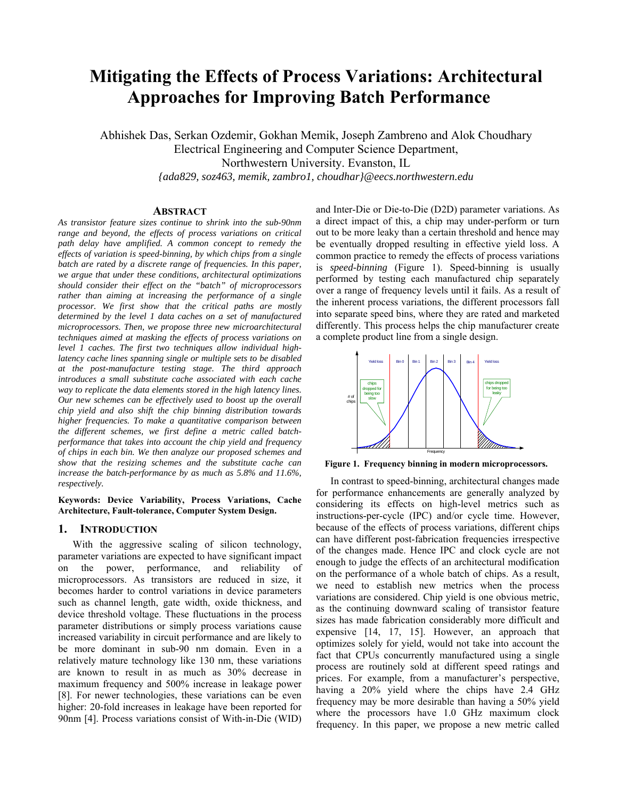# **Mitigating the Effects of Process Variations: Architectural Approaches for Improving Batch Performance**

Abhishek Das, Serkan Ozdemir, Gokhan Memik, Joseph Zambreno and Alok Choudhary Electrical Engineering and Computer Science Department, Northwestern University. Evanston, IL *{ada829, soz463, memik, zambro1, choudhar}@eecs.northwestern.edu* 

# **ABSTRACT**

*As transistor feature sizes continue to shrink into the sub-90nm range and beyond, the effects of process variations on critical path delay have amplified. A common concept to remedy the effects of variation is speed-binning, by which chips from a single batch are rated by a discrete range of frequencies. In this paper, we argue that under these conditions, architectural optimizations should consider their effect on the "batch" of microprocessors rather than aiming at increasing the performance of a single processor. We first show that the critical paths are mostly determined by the level 1 data caches on a set of manufactured microprocessors. Then, we propose three new microarchitectural techniques aimed at masking the effects of process variations on level 1 caches. The first two techniques allow individual highlatency cache lines spanning single or multiple sets to be disabled at the post-manufacture testing stage. The third approach introduces a small substitute cache associated with each cache way to replicate the data elements stored in the high latency lines. Our new schemes can be effectively used to boost up the overall chip yield and also shift the chip binning distribution towards higher frequencies. To make a quantitative comparison between the different schemes, we first define a metric called batchperformance that takes into account the chip yield and frequency of chips in each bin. We then analyze our proposed schemes and show that the resizing schemes and the substitute cache can increase the batch-performance by as much as 5.8% and 11.6%, respectively.* 

**Keywords: Device Variability, Process Variations, Cache Architecture, Fault-tolerance, Computer System Design.** 

### **1. INTRODUCTION**

With the aggressive scaling of silicon technology, parameter variations are expected to have significant impact on the power, performance, and reliability of microprocessors. As transistors are reduced in size, it becomes harder to control variations in device parameters such as channel length, gate width, oxide thickness, and device threshold voltage. These fluctuations in the process parameter distributions or simply process variations cause increased variability in circuit performance and are likely to be more dominant in sub-90 nm domain. Even in a relatively mature technology like 130 nm, these variations are known to result in as much as 30% decrease in maximum frequency and 500% increase in leakage power [8]. For newer technologies, these variations can be even higher: 20-fold increases in leakage have been reported for 90nm [4]. Process variations consist of With-in-Die (WID) and Inter-Die or Die-to-Die (D2D) parameter variations. As a direct impact of this, a chip may under-perform or turn out to be more leaky than a certain threshold and hence may be eventually dropped resulting in effective yield loss. A common practice to remedy the effects of process variations is *speed-binning* (Figure 1). Speed-binning is usually performed by testing each manufactured chip separately over a range of frequency levels until it fails. As a result of the inherent process variations, the different processors fall into separate speed bins, where they are rated and marketed differently. This process helps the chip manufacturer create a complete product line from a single design.



**Figure 1. Frequency binning in modern microprocessors.** 

In contrast to speed-binning, architectural changes made for performance enhancements are generally analyzed by considering its effects on high-level metrics such as instructions-per-cycle (IPC) and/or cycle time. However, because of the effects of process variations, different chips can have different post-fabrication frequencies irrespective of the changes made. Hence IPC and clock cycle are not enough to judge the effects of an architectural modification on the performance of a whole batch of chips. As a result, we need to establish new metrics when the process variations are considered. Chip yield is one obvious metric, as the continuing downward scaling of transistor feature sizes has made fabrication considerably more difficult and expensive [14, 17, 15]. However, an approach that optimizes solely for yield, would not take into account the fact that CPUs concurrently manufactured using a single process are routinely sold at different speed ratings and prices. For example, from a manufacturer's perspective, having a 20% yield where the chips have 2.4 GHz frequency may be more desirable than having a 50% yield where the processors have 1.0 GHz maximum clock frequency. In this paper, we propose a new metric called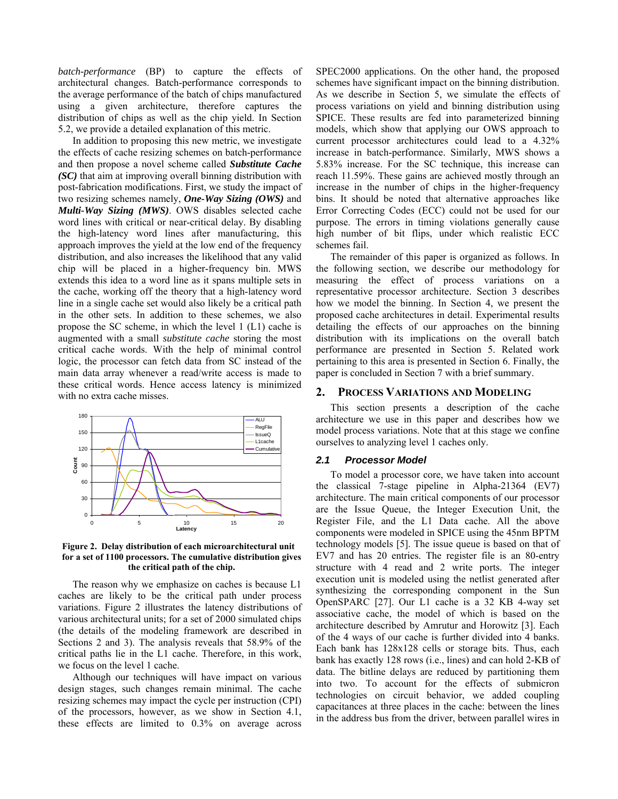*batch-performance* (BP) to capture the effects of architectural changes. Batch-performance corresponds to the average performance of the batch of chips manufactured using a given architecture, therefore captures the distribution of chips as well as the chip yield. In Section 5.2, we provide a detailed explanation of this metric.

In addition to proposing this new metric, we investigate the effects of cache resizing schemes on batch-performance and then propose a novel scheme called *Substitute Cache (SC)* that aim at improving overall binning distribution with post-fabrication modifications. First, we study the impact of two resizing schemes namely, *One-Way Sizing (OWS)* and *Multi-Way Sizing (MWS)*. OWS disables selected cache word lines with critical or near-critical delay. By disabling the high-latency word lines after manufacturing, this approach improves the yield at the low end of the frequency distribution, and also increases the likelihood that any valid chip will be placed in a higher-frequency bin. MWS extends this idea to a word line as it spans multiple sets in the cache, working off the theory that a high-latency word line in a single cache set would also likely be a critical path in the other sets. In addition to these schemes, we also propose the SC scheme, in which the level 1 (L1) cache is augmented with a small *substitute cache* storing the most critical cache words. With the help of minimal control logic, the processor can fetch data from SC instead of the main data array whenever a read/write access is made to these critical words. Hence access latency is minimized with no extra cache misses.



**Figure 2. Delay distribution of each microarchitectural unit for a set of 1100 processors. The cumulative distribution gives the critical path of the chip.** 

The reason why we emphasize on caches is because L1 caches are likely to be the critical path under process variations. Figure 2 illustrates the latency distributions of various architectural units; for a set of 2000 simulated chips (the details of the modeling framework are described in Sections 2 and 3). The analysis reveals that 58.9% of the critical paths lie in the L1 cache. Therefore, in this work, we focus on the level 1 cache.

Although our techniques will have impact on various design stages, such changes remain minimal. The cache resizing schemes may impact the cycle per instruction (CPI) of the processors, however, as we show in Section 4.1, these effects are limited to 0.3% on average across

SPEC2000 applications. On the other hand, the proposed schemes have significant impact on the binning distribution. As we describe in Section 5, we simulate the effects of process variations on yield and binning distribution using SPICE. These results are fed into parameterized binning models, which show that applying our OWS approach to current processor architectures could lead to a 4.32% increase in batch-performance. Similarly, MWS shows a 5.83% increase. For the SC technique, this increase can reach 11.59%. These gains are achieved mostly through an increase in the number of chips in the higher-frequency bins. It should be noted that alternative approaches like Error Correcting Codes (ECC) could not be used for our purpose. The errors in timing violations generally cause high number of bit flips, under which realistic ECC schemes fail.

The remainder of this paper is organized as follows. In the following section, we describe our methodology for measuring the effect of process variations on a representative processor architecture. Section 3 describes how we model the binning. In Section 4, we present the proposed cache architectures in detail. Experimental results detailing the effects of our approaches on the binning distribution with its implications on the overall batch performance are presented in Section 5. Related work pertaining to this area is presented in Section 6. Finally, the paper is concluded in Section 7 with a brief summary.

### **2. PROCESS VARIATIONS AND MODELING**

This section presents a description of the cache architecture we use in this paper and describes how we model process variations. Note that at this stage we confine ourselves to analyzing level 1 caches only.

#### *2.1 Processor Model*

To model a processor core, we have taken into account the classical 7-stage pipeline in Alpha-21364 (EV7) architecture. The main critical components of our processor are the Issue Queue, the Integer Execution Unit, the Register File, and the L1 Data cache. All the above components were modeled in SPICE using the 45nm BPTM technology models [5]. The issue queue is based on that of EV7 and has 20 entries. The register file is an 80-entry structure with 4 read and 2 write ports. The integer execution unit is modeled using the netlist generated after synthesizing the corresponding component in the Sun OpenSPARC [27]. Our L1 cache is a 32 KB 4-way set associative cache, the model of which is based on the architecture described by Amrutur and Horowitz [3]. Each of the 4 ways of our cache is further divided into 4 banks. Each bank has 128x128 cells or storage bits. Thus, each bank has exactly 128 rows (i.e., lines) and can hold 2-KB of data. The bitline delays are reduced by partitioning them into two. To account for the effects of submicron technologies on circuit behavior, we added coupling capacitances at three places in the cache: between the lines in the address bus from the driver, between parallel wires in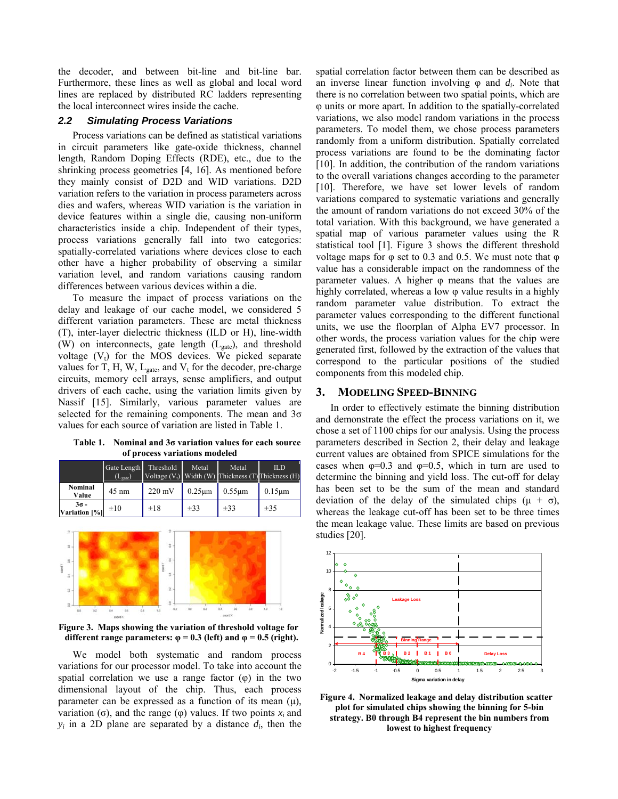the decoder, and between bit-line and bit-line bar. Furthermore, these lines as well as global and local word lines are replaced by distributed RC ladders representing the local interconnect wires inside the cache.

### *2.2 Simulating Process Variations*

Process variations can be defined as statistical variations in circuit parameters like gate-oxide thickness, channel length, Random Doping Effects (RDE), etc., due to the shrinking process geometries [4, 16]. As mentioned before they mainly consist of D2D and WID variations. D2D variation refers to the variation in process parameters across dies and wafers, whereas WID variation is the variation in device features within a single die, causing non-uniform characteristics inside a chip. Independent of their types, process variations generally fall into two categories: spatially-correlated variations where devices close to each other have a higher probability of observing a similar variation level, and random variations causing random differences between various devices within a die.

To measure the impact of process variations on the delay and leakage of our cache model, we considered 5 different variation parameters. These are metal thickness (T), inter-layer dielectric thickness (ILD or H), line-width (W) on interconnects, gate length  $(L_{gate})$ , and threshold voltage  $(V_t)$  for the MOS devices. We picked separate values for T, H, W,  $L_{gate}$ , and  $V_t$  for the decoder, pre-charge circuits, memory cell arrays, sense amplifiers, and output drivers of each cache, using the variation limits given by Nassif [15]. Similarly, various parameter values are selected for the remaining components. The mean and  $3\sigma$ values for each source of variation are listed in Table 1.

**Table 1. Nominal and 3σ variation values for each source of process variations modeled** 

|                              | Gate Length<br>$(L_{\text{gate}})$ | Threshold        | Metal            | Metal        | ILD<br>Voltage $(V_t)$ Width $(W)$ Thickness $(T)$ Thickness $(H)$ |
|------------------------------|------------------------------------|------------------|------------------|--------------|--------------------------------------------------------------------|
| Nominal<br>Value             | $45 \text{ nm}$                    | $220 \text{ mV}$ | $0.25 \text{µm}$ | $0.55 \mu m$ | $0.15 \mu m$                                                       |
| $3\sigma -$<br>Variation [%] | $\pm 10$                           | $\pm 18$         | $\pm 33$         | $\pm$ 33     | $\pm 35$                                                           |



**Figure 3. Maps showing the variation of threshold voltage for**  different range parameters:  $\varphi = 0.3$  (left) and  $\varphi = 0.5$  (right).

We model both systematic and random process variations for our processor model. To take into account the spatial correlation we use a range factor  $(\varphi)$  in the two dimensional layout of the chip. Thus, each process parameter can be expressed as a function of its mean  $(\mu)$ , variation (σ), and the range (φ) values. If two points *xi* and  $y_i$  in a 2D plane are separated by a distance  $d_i$ , then the spatial correlation factor between them can be described as an inverse linear function involving φ and *di*. Note that there is no correlation between two spatial points, which are φ units or more apart. In addition to the spatially-correlated variations, we also model random variations in the process parameters. To model them, we chose process parameters randomly from a uniform distribution. Spatially correlated process variations are found to be the dominating factor [10]. In addition, the contribution of the random variations to the overall variations changes according to the parameter [10]. Therefore, we have set lower levels of random variations compared to systematic variations and generally the amount of random variations do not exceed 30% of the total variation. With this background, we have generated a spatial map of various parameter values using the R statistical tool [1]. Figure 3 shows the different threshold voltage maps for  $φ$  set to 0.3 and 0.5. We must note that  $φ$ value has a considerable impact on the randomness of the parameter values. A higher  $\varphi$  means that the values are highly correlated, whereas a low φ value results in a highly random parameter value distribution. To extract the parameter values corresponding to the different functional units, we use the floorplan of Alpha EV7 processor. In other words, the process variation values for the chip were generated first, followed by the extraction of the values that correspond to the particular positions of the studied components from this modeled chip.

#### **3. MODELING SPEED-BINNING**

In order to effectively estimate the binning distribution and demonstrate the effect the process variations on it, we chose a set of 1100 chips for our analysis. Using the process parameters described in Section 2, their delay and leakage current values are obtained from SPICE simulations for the cases when  $\varphi=0.3$  and  $\varphi=0.5$ , which in turn are used to determine the binning and yield loss. The cut-off for delay has been set to be the sum of the mean and standard deviation of the delay of the simulated chips  $(\mu + \sigma)$ , whereas the leakage cut-off has been set to be three times the mean leakage value. These limits are based on previous studies [20].



**Figure 4. Normalized leakage and delay distribution scatter plot for simulated chips showing the binning for 5-bin strategy. B0 through B4 represent the bin numbers from lowest to highest frequency**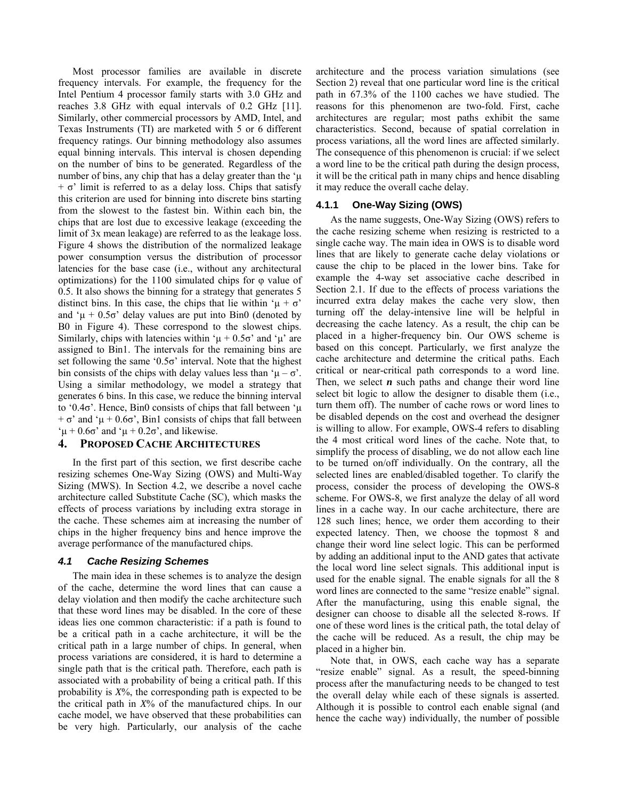Most processor families are available in discrete frequency intervals. For example, the frequency for the Intel Pentium 4 processor family starts with 3.0 GHz and reaches 3.8 GHz with equal intervals of 0.2 GHz [11]. Similarly, other commercial processors by AMD, Intel, and Texas Instruments (TI) are marketed with 5 or 6 different frequency ratings. Our binning methodology also assumes equal binning intervals. This interval is chosen depending on the number of bins to be generated. Regardless of the number of bins, any chip that has a delay greater than the  $\mu$  $+ \sigma'$  limit is referred to as a delay loss. Chips that satisfy this criterion are used for binning into discrete bins starting from the slowest to the fastest bin. Within each bin, the chips that are lost due to excessive leakage (exceeding the limit of 3x mean leakage) are referred to as the leakage loss. Figure 4 shows the distribution of the normalized leakage power consumption versus the distribution of processor latencies for the base case (i.e., without any architectural optimizations) for the 1100 simulated chips for  $\varphi$  value of 0.5. It also shows the binning for a strategy that generates 5 distinct bins. In this case, the chips that lie within ' $\mu + \sigma$ ' and ' $\mu$  + 0.5 $\sigma$ ' delay values are put into Bin0 (denoted by B0 in Figure 4). These correspond to the slowest chips. Similarly, chips with latencies within ' $\mu + 0.5\sigma$ ' and ' $\mu$ ' are assigned to Bin1. The intervals for the remaining bins are set following the same ' $0.5\sigma$ ' interval. Note that the highest bin consists of the chips with delay values less than ' $\mu - \sigma$ '. Using a similar methodology, we model a strategy that generates 6 bins. In this case, we reduce the binning interval to '0.4σ'. Hence, Bin0 consists of chips that fall between 'µ  $+\sigma'$  and ' $\mu + 0.6\sigma'$ , Bin1 consists of chips that fall between ' $\mu$  + 0.6 $\sigma$ ' and ' $\mu$  + 0.2 $\sigma$ ', and likewise.

# **4. PROPOSED CACHE ARCHITECTURES**

In the first part of this section, we first describe cache resizing schemes One-Way Sizing (OWS) and Multi-Way Sizing (MWS). In Section 4.2, we describe a novel cache architecture called Substitute Cache (SC), which masks the effects of process variations by including extra storage in the cache. These schemes aim at increasing the number of chips in the higher frequency bins and hence improve the average performance of the manufactured chips.

## *4.1 Cache Resizing Schemes*

The main idea in these schemes is to analyze the design of the cache, determine the word lines that can cause a delay violation and then modify the cache architecture such that these word lines may be disabled. In the core of these ideas lies one common characteristic: if a path is found to be a critical path in a cache architecture, it will be the critical path in a large number of chips. In general, when process variations are considered, it is hard to determine a single path that is the critical path. Therefore, each path is associated with a probability of being a critical path. If this probability is *X*%, the corresponding path is expected to be the critical path in *X*% of the manufactured chips. In our cache model, we have observed that these probabilities can be very high. Particularly, our analysis of the cache

architecture and the process variation simulations (see Section 2) reveal that one particular word line is the critical path in 67.3% of the 1100 caches we have studied. The reasons for this phenomenon are two-fold. First, cache architectures are regular; most paths exhibit the same characteristics. Second, because of spatial correlation in process variations, all the word lines are affected similarly. The consequence of this phenomenon is crucial: if we select a word line to be the critical path during the design process, it will be the critical path in many chips and hence disabling it may reduce the overall cache delay.

## **4.1.1 One-Way Sizing (OWS)**

As the name suggests, One-Way Sizing (OWS) refers to the cache resizing scheme when resizing is restricted to a single cache way. The main idea in OWS is to disable word lines that are likely to generate cache delay violations or cause the chip to be placed in the lower bins. Take for example the 4-way set associative cache described in Section 2.1. If due to the effects of process variations the incurred extra delay makes the cache very slow, then turning off the delay-intensive line will be helpful in decreasing the cache latency. As a result, the chip can be placed in a higher-frequency bin. Our OWS scheme is based on this concept. Particularly, we first analyze the cache architecture and determine the critical paths. Each critical or near-critical path corresponds to a word line. Then, we select  $\boldsymbol{n}$  such paths and change their word line select bit logic to allow the designer to disable them (i.e., turn them off). The number of cache rows or word lines to be disabled depends on the cost and overhead the designer is willing to allow. For example, OWS-4 refers to disabling the 4 most critical word lines of the cache. Note that, to simplify the process of disabling, we do not allow each line to be turned on/off individually. On the contrary, all the selected lines are enabled/disabled together. To clarify the process, consider the process of developing the OWS-8 scheme. For OWS-8, we first analyze the delay of all word lines in a cache way. In our cache architecture, there are 128 such lines; hence, we order them according to their expected latency. Then, we choose the topmost 8 and change their word line select logic. This can be performed by adding an additional input to the AND gates that activate the local word line select signals. This additional input is used for the enable signal. The enable signals for all the 8 word lines are connected to the same "resize enable" signal. After the manufacturing, using this enable signal, the designer can choose to disable all the selected 8-rows. If one of these word lines is the critical path, the total delay of the cache will be reduced. As a result, the chip may be placed in a higher bin.

Note that, in OWS, each cache way has a separate "resize enable" signal. As a result, the speed-binning process after the manufacturing needs to be changed to test the overall delay while each of these signals is asserted. Although it is possible to control each enable signal (and hence the cache way) individually, the number of possible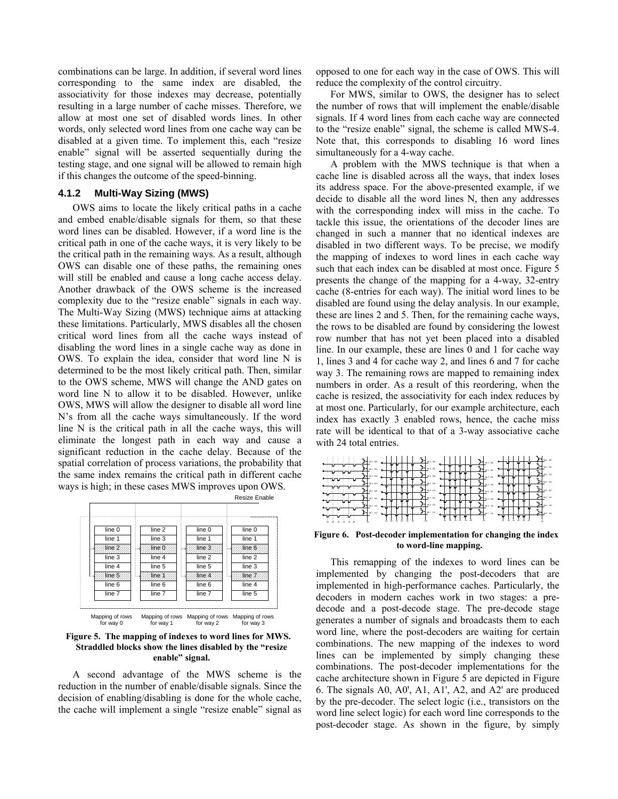combinations can be large. In addition, if several word lines corresponding to the same index are disabled, the associativity for those indexes may decrease, potentially resulting in a large number of cache misses. Therefore, we allow at most one set of disabled words lines. In other words, only selected word lines from one cache way can be disabled at a given time. To implement this, each "resize enable" signal will be asserted sequentially during the testing stage, and one signal will be allowed to remain high if this changes the outcome of the speed-binning.

## **4.1.2 Multi-Way Sizing (MWS)**

OWS aims to locate the likely critical paths in a cache and embed enable/disable signals for them, so that these word lines can be disabled. However, if a word line is the critical path in one of the cache ways, it is very likely to be the critical path in the remaining ways. As a result, although OWS can disable one of these paths, the remaining ones will still be enabled and cause a long cache access delay. Another drawback of the OWS scheme is the increased complexity due to the "resize enable" signals in each way. The Multi-Way Sizing (MWS) technique aims at attacking these limitations. Particularly, MWS disables all the chosen critical word lines from all the cache ways instead of disabling the word lines in a single cache way as done in OWS. To explain the idea, consider that word line N is determined to be the most likely critical path. Then, similar to the OWS scheme, MWS will change the AND gates on word line N to allow it to be disabled. However, unlike OWS, MWS will allow the designer to disable all word line N's from all the cache ways simultaneously. If the word line N is the critical path in all the cache ways, this will eliminate the longest path in each way and cause a significant reduction in the cache delay. Because of the spatial correlation of process variations, the probability that the same index remains the critical path in different cache ways is high; in these cases MWS improves upon OWS.



**Figure 5. The mapping of indexes to word lines for MWS. Straddled blocks show the lines disabled by the "resize enable" signal.** 

A second advantage of the MWS scheme is the reduction in the number of enable/disable signals. Since the decision of enabling/disabling is done for the whole cache, the cache will implement a single "resize enable" signal as

opposed to one for each way in the case of OWS. This will reduce the complexity of the control circuitry.

For MWS, similar to OWS, the designer has to select the number of rows that will implement the enable/disable signals. If 4 word lines from each cache way are connected to the "resize enable" signal, the scheme is called MWS-4. Note that, this corresponds to disabling 16 word lines simultaneously for a 4-way cache.

A problem with the MWS technique is that when a cache line is disabled across all the ways, that index loses its address space. For the above-presented example, if we decide to disable all the word lines N, then any addresses with the corresponding index will miss in the cache. To tackle this issue, the orientations of the decoder lines are changed in such a manner that no identical indexes are disabled in two different ways. To be precise, we modify the mapping of indexes to word lines in each cache way such that each index can be disabled at most once. Figure 5 presents the change of the mapping for a 4-way, 32-entry cache (8-entries for each way). The initial word lines to be disabled are found using the delay analysis. In our example, these are lines 2 and 5. Then, for the remaining cache ways, the rows to be disabled are found by considering the lowest row number that has not yet been placed into a disabled line. In our example, these are lines 0 and 1 for cache way 1, lines 3 and 4 for cache way 2, and lines 6 and 7 for cache way 3. The remaining rows are mapped to remaining index numbers in order. As a result of this reordering, when the cache is resized, the associativity for each index reduces by at most one. Particularly, for our example architecture, each index has exactly 3 enabled rows, hence, the cache miss rate will be identical to that of a 3-way associative cache with 24 total entries.

| <b>INLO 000</b><br>ъ<br>V4.1 001          | V4.2 093<br>V6.3 011             |                | con<br><b>GM</b><br>cos          |
|-------------------------------------------|----------------------------------|----------------|----------------------------------|
| WL2 010                                   | VEO 000                          | ₩<br>          | VA-6 190<br>J۳<br>VIL 3 011      |
| Þ<br>WL3 011<br>ъ                         | ME A<br>ъч                       | 100            | V4.2 090                         |
| VL4 100<br>س⊷<br>ı.<br>V& 5 101           | VILS 101<br>ь.<br>V6.1 001       |                | <b>WL2 011</b><br>121<br>WL7 111 |
| $\overline{\phantom{0}}$<br>V& 6 190<br>↤ | $P_{\perp}$ yes 110              |                | $P_{\perp}$ ms to<br>VL-4 100    |
| ън<br>V4.7 111<br>↽                       | 3H vez on                        | $\blacksquare$ | JH.<br>WZ<br>111<br>VLS 10       |
| Ä1<br>is.<br>ia<br>ж<br>in.               | ŵ.<br>Ã0<br>ia<br>Ĥ.<br>io<br>ia | ю<br>м         | k<br>'n.<br>×<br>$\sim$          |

#### **Figure 6. Post-decoder implementation for changing the index to word-line mapping.**

This remapping of the indexes to word lines can be implemented by changing the post-decoders that are implemented in high-performance caches. Particularly, the decoders in modern caches work in two stages: a predecode and a post-decode stage. The pre-decode stage generates a number of signals and broadcasts them to each word line, where the post-decoders are waiting for certain combinations. The new mapping of the indexes to word lines can be implemented by simply changing these combinations. The post-decoder implementations for the cache architecture shown in Figure 5 are depicted in Figure 6. The signals A0, A0', A1, A1', A2, and A2' are produced by the pre-decoder. The select logic (i.e., transistors on the word line select logic) for each word line corresponds to the post-decoder stage. As shown in the figure, by simply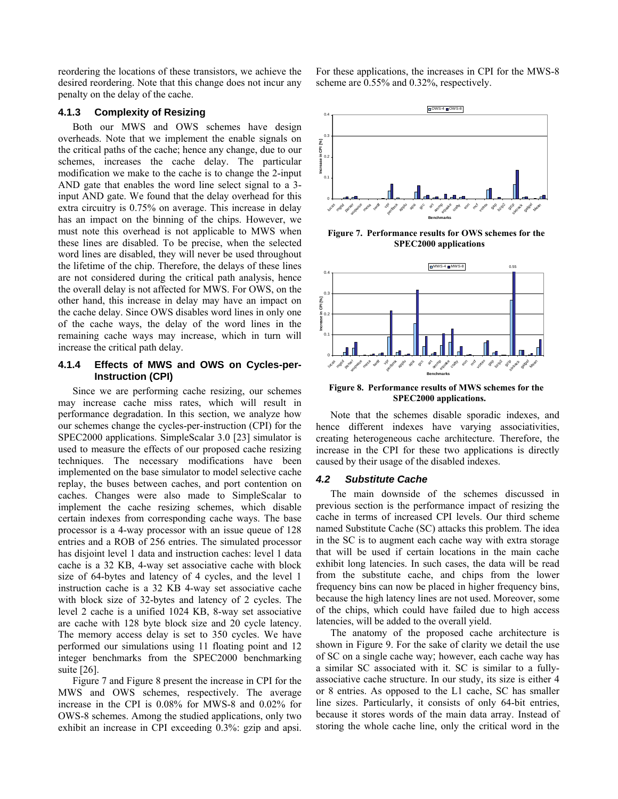reordering the locations of these transistors, we achieve the desired reordering. Note that this change does not incur any penalty on the delay of the cache.

## **4.1.3 Complexity of Resizing**

Both our MWS and OWS schemes have design overheads. Note that we implement the enable signals on the critical paths of the cache; hence any change, due to our schemes, increases the cache delay. The particular modification we make to the cache is to change the 2-input AND gate that enables the word line select signal to a 3 input AND gate. We found that the delay overhead for this extra circuitry is 0.75% on average. This increase in delay has an impact on the binning of the chips. However, we must note this overhead is not applicable to MWS when these lines are disabled. To be precise, when the selected word lines are disabled, they will never be used throughout the lifetime of the chip. Therefore, the delays of these lines are not considered during the critical path analysis, hence the overall delay is not affected for MWS. For OWS, on the other hand, this increase in delay may have an impact on the cache delay. Since OWS disables word lines in only one of the cache ways, the delay of the word lines in the remaining cache ways may increase, which in turn will increase the critical path delay.

# **4.1.4 Effects of MWS and OWS on Cycles-per-Instruction (CPI)**

Since we are performing cache resizing, our schemes may increase cache miss rates, which will result in performance degradation. In this section, we analyze how our schemes change the cycles-per-instruction (CPI) for the SPEC2000 applications. SimpleScalar 3.0 [23] simulator is used to measure the effects of our proposed cache resizing techniques. The necessary modifications have been implemented on the base simulator to model selective cache replay, the buses between caches, and port contention on caches. Changes were also made to SimpleScalar to implement the cache resizing schemes, which disable certain indexes from corresponding cache ways. The base processor is a 4-way processor with an issue queue of 128 entries and a ROB of 256 entries. The simulated processor has disjoint level 1 data and instruction caches: level 1 data cache is a 32 KB, 4-way set associative cache with block size of 64-bytes and latency of 4 cycles, and the level 1 instruction cache is a 32 KB 4-way set associative cache with block size of 32-bytes and latency of 2 cycles. The level 2 cache is a unified 1024 KB, 8-way set associative are cache with 128 byte block size and 20 cycle latency. The memory access delay is set to 350 cycles. We have performed our simulations using 11 floating point and 12 integer benchmarks from the SPEC2000 benchmarking suite [26].

Figure 7 and Figure 8 present the increase in CPI for the MWS and OWS schemes, respectively. The average increase in the CPI is 0.08% for MWS-8 and 0.02% for OWS-8 schemes. Among the studied applications, only two exhibit an increase in CPI exceeding 0.3%: gzip and apsi. For these applications, the increases in CPI for the MWS-8 scheme are 0.55% and 0.32%, respectively.



**Figure 7. Performance results for OWS schemes for the SPEC2000 applications** 



**Figure 8. Performance results of MWS schemes for the SPEC2000 applications.** 

Note that the schemes disable sporadic indexes, and hence different indexes have varying associativities, creating heterogeneous cache architecture. Therefore, the increase in the CPI for these two applications is directly caused by their usage of the disabled indexes.

#### *4.2 Substitute Cache*

The main downside of the schemes discussed in previous section is the performance impact of resizing the cache in terms of increased CPI levels. Our third scheme named Substitute Cache (SC) attacks this problem. The idea in the SC is to augment each cache way with extra storage that will be used if certain locations in the main cache exhibit long latencies. In such cases, the data will be read from the substitute cache, and chips from the lower frequency bins can now be placed in higher frequency bins, because the high latency lines are not used. Moreover, some of the chips, which could have failed due to high access latencies, will be added to the overall yield.

The anatomy of the proposed cache architecture is shown in Figure 9. For the sake of clarity we detail the use of SC on a single cache way; however, each cache way has a similar SC associated with it. SC is similar to a fullyassociative cache structure. In our study, its size is either 4 or 8 entries. As opposed to the L1 cache, SC has smaller line sizes. Particularly, it consists of only 64-bit entries, because it stores words of the main data array. Instead of storing the whole cache line, only the critical word in the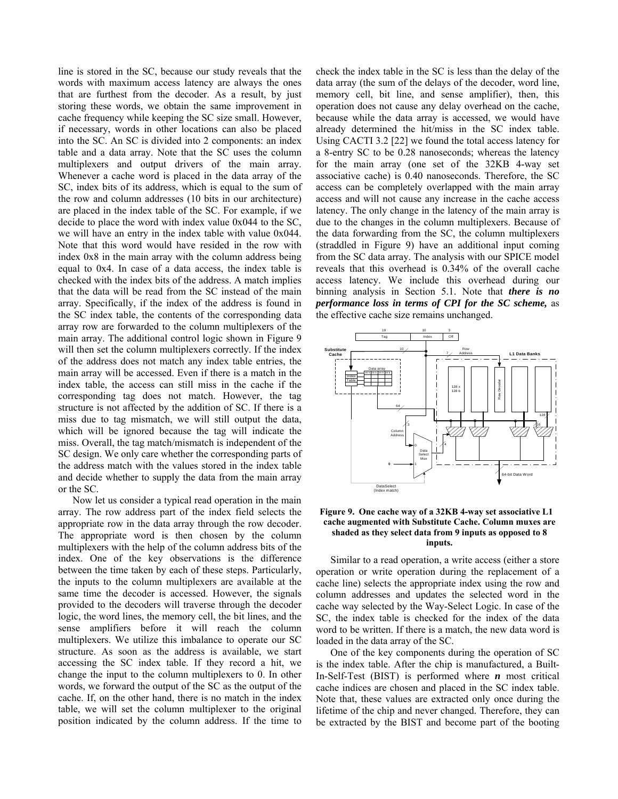line is stored in the SC, because our study reveals that the words with maximum access latency are always the ones that are furthest from the decoder. As a result, by just storing these words, we obtain the same improvement in cache frequency while keeping the SC size small. However, if necessary, words in other locations can also be placed into the SC. An SC is divided into 2 components: an index table and a data array. Note that the SC uses the column multiplexers and output drivers of the main array. Whenever a cache word is placed in the data array of the SC, index bits of its address, which is equal to the sum of the row and column addresses (10 bits in our architecture) are placed in the index table of the SC. For example, if we decide to place the word with index value 0x044 to the SC, we will have an entry in the index table with value 0x044. Note that this word would have resided in the row with index 0x8 in the main array with the column address being equal to 0x4. In case of a data access, the index table is checked with the index bits of the address. A match implies that the data will be read from the SC instead of the main array. Specifically, if the index of the address is found in the SC index table, the contents of the corresponding data array row are forwarded to the column multiplexers of the main array. The additional control logic shown in Figure 9 will then set the column multiplexers correctly. If the index of the address does not match any index table entries, the main array will be accessed. Even if there is a match in the index table, the access can still miss in the cache if the corresponding tag does not match. However, the tag structure is not affected by the addition of SC. If there is a miss due to tag mismatch, we will still output the data, which will be ignored because the tag will indicate the miss. Overall, the tag match/mismatch is independent of the SC design. We only care whether the corresponding parts of the address match with the values stored in the index table and decide whether to supply the data from the main array or the SC.

Now let us consider a typical read operation in the main array. The row address part of the index field selects the appropriate row in the data array through the row decoder. The appropriate word is then chosen by the column multiplexers with the help of the column address bits of the index. One of the key observations is the difference between the time taken by each of these steps. Particularly, the inputs to the column multiplexers are available at the same time the decoder is accessed. However, the signals provided to the decoders will traverse through the decoder logic, the word lines, the memory cell, the bit lines, and the sense amplifiers before it will reach the column multiplexers. We utilize this imbalance to operate our SC structure. As soon as the address is available, we start accessing the SC index table. If they record a hit, we change the input to the column multiplexers to 0. In other words, we forward the output of the SC as the output of the cache. If, on the other hand, there is no match in the index table, we will set the column multiplexer to the original position indicated by the column address. If the time to

check the index table in the SC is less than the delay of the data array (the sum of the delays of the decoder, word line, memory cell, bit line, and sense amplifier), then, this operation does not cause any delay overhead on the cache, because while the data array is accessed, we would have already determined the hit/miss in the SC index table. Using CACTI 3.2 [22] we found the total access latency for a 8-entry SC to be 0.28 nanoseconds; whereas the latency for the main array (one set of the 32KB 4-way set associative cache) is 0.40 nanoseconds. Therefore, the SC access can be completely overlapped with the main array access and will not cause any increase in the cache access latency. The only change in the latency of the main array is due to the changes in the column multiplexers. Because of the data forwarding from the SC, the column multiplexers (straddled in Figure 9) have an additional input coming from the SC data array. The analysis with our SPICE model reveals that this overhead is 0.34% of the overall cache access latency. We include this overhead during our binning analysis in Section 5.1. Note that *there is no performance loss in terms of CPI for the SC scheme,* as the effective cache size remains unchanged.



#### **Figure 9. One cache way of a 32KB 4-way set associative L1 cache augmented with Substitute Cache. Column muxes are shaded as they select data from 9 inputs as opposed to 8 inputs.**

Similar to a read operation, a write access (either a store operation or write operation during the replacement of a cache line) selects the appropriate index using the row and column addresses and updates the selected word in the cache way selected by the Way-Select Logic. In case of the SC, the index table is checked for the index of the data word to be written. If there is a match, the new data word is loaded in the data array of the SC.

One of the key components during the operation of SC is the index table. After the chip is manufactured, a Built-In-Self-Test (BIST) is performed where *n* most critical cache indices are chosen and placed in the SC index table. Note that, these values are extracted only once during the lifetime of the chip and never changed. Therefore, they can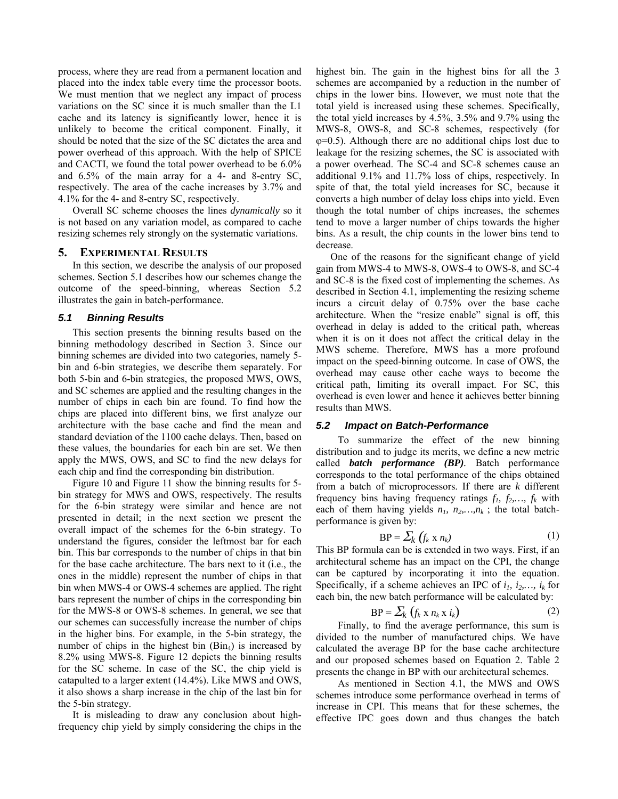process, where they are read from a permanent location and placed into the index table every time the processor boots. We must mention that we neglect any impact of process variations on the SC since it is much smaller than the L1 cache and its latency is significantly lower, hence it is unlikely to become the critical component. Finally, it should be noted that the size of the SC dictates the area and power overhead of this approach. With the help of SPICE and CACTI, we found the total power overhead to be 6.0% and 6.5% of the main array for a 4- and 8-entry SC, respectively. The area of the cache increases by 3.7% and 4.1% for the 4- and 8-entry SC, respectively.

Overall SC scheme chooses the lines *dynamically* so it is not based on any variation model, as compared to cache resizing schemes rely strongly on the systematic variations.

## **5. EXPERIMENTAL RESULTS**

In this section, we describe the analysis of our proposed schemes. Section 5.1 describes how our schemes change the outcome of the speed-binning, whereas Section 5.2 illustrates the gain in batch-performance.

### *5.1 Binning Results*

This section presents the binning results based on the binning methodology described in Section 3. Since our binning schemes are divided into two categories, namely 5 bin and 6-bin strategies, we describe them separately. For both 5-bin and 6-bin strategies, the proposed MWS, OWS, and SC schemes are applied and the resulting changes in the number of chips in each bin are found. To find how the chips are placed into different bins, we first analyze our architecture with the base cache and find the mean and standard deviation of the 1100 cache delays. Then, based on these values, the boundaries for each bin are set. We then apply the MWS, OWS, and SC to find the new delays for each chip and find the corresponding bin distribution.

Figure 10 and Figure 11 show the binning results for 5 bin strategy for MWS and OWS, respectively. The results for the 6-bin strategy were similar and hence are not presented in detail; in the next section we present the overall impact of the schemes for the 6-bin strategy. To understand the figures, consider the leftmost bar for each bin. This bar corresponds to the number of chips in that bin for the base cache architecture. The bars next to it (i.e., the ones in the middle) represent the number of chips in that bin when MWS-4 or OWS-4 schemes are applied. The right bars represent the number of chips in the corresponding bin for the MWS-8 or OWS-8 schemes. In general, we see that our schemes can successfully increase the number of chips in the higher bins. For example, in the 5-bin strategy, the number of chips in the highest bin  $(Bin<sub>4</sub>)$  is increased by 8.2% using MWS-8. Figure 12 depicts the binning results for the SC scheme. In case of the SC, the chip yield is catapulted to a larger extent (14.4%). Like MWS and OWS, it also shows a sharp increase in the chip of the last bin for the 5-bin strategy.

It is misleading to draw any conclusion about highfrequency chip yield by simply considering the chips in the highest bin. The gain in the highest bins for all the 3 schemes are accompanied by a reduction in the number of chips in the lower bins. However, we must note that the total yield is increased using these schemes. Specifically, the total yield increases by 4.5%, 3.5% and 9.7% using the MWS-8, OWS-8, and SC-8 schemes, respectively (for φ=0.5). Although there are no additional chips lost due to leakage for the resizing schemes, the SC is associated with a power overhead. The SC-4 and SC-8 schemes cause an additional 9.1% and 11.7% loss of chips, respectively. In spite of that, the total yield increases for SC, because it converts a high number of delay loss chips into yield. Even though the total number of chips increases, the schemes tend to move a larger number of chips towards the higher bins. As a result, the chip counts in the lower bins tend to decrease.

One of the reasons for the significant change of yield gain from MWS-4 to MWS-8, OWS-4 to OWS-8, and SC-4 and SC-8 is the fixed cost of implementing the schemes. As described in Section 4.1, implementing the resizing scheme incurs a circuit delay of 0.75% over the base cache architecture. When the "resize enable" signal is off, this overhead in delay is added to the critical path, whereas when it is on it does not affect the critical delay in the MWS scheme. Therefore, MWS has a more profound impact on the speed-binning outcome. In case of OWS, the overhead may cause other cache ways to become the critical path, limiting its overall impact. For SC, this overhead is even lower and hence it achieves better binning results than MWS.

#### *5.2 Impact on Batch-Performance*

To summarize the effect of the new binning distribution and to judge its merits, we define a new metric called *batch performance (BP).* Batch performance corresponds to the total performance of the chips obtained from a batch of microprocessors. If there are *k* different frequency bins having frequency ratings  $f_1, f_2, ..., f_k$  with each of them having yields  $n_1$ ,  $n_2$ , ...,  $n_k$ ; the total batchperformance is given by:

$$
BP = \sum_{k} (f_k \times n_k) \tag{1}
$$

This BP formula can be is extended in two ways. First, if an architectural scheme has an impact on the CPI, the change can be captured by incorporating it into the equation. Specifically, if a scheme achieves an IPC of  $i_1, i_2, \ldots, i_k$  for each bin, the new batch performance will be calculated by:

$$
BP = \sum_{k} (f_k \times n_k \times i_k)
$$
 (2)

Finally, to find the average performance, this sum is divided to the number of manufactured chips. We have calculated the average BP for the base cache architecture and our proposed schemes based on Equation 2. Table 2 presents the change in BP with our architectural schemes.

As mentioned in Section 4.1, the MWS and OWS schemes introduce some performance overhead in terms of increase in CPI. This means that for these schemes, the effective IPC goes down and thus changes the batch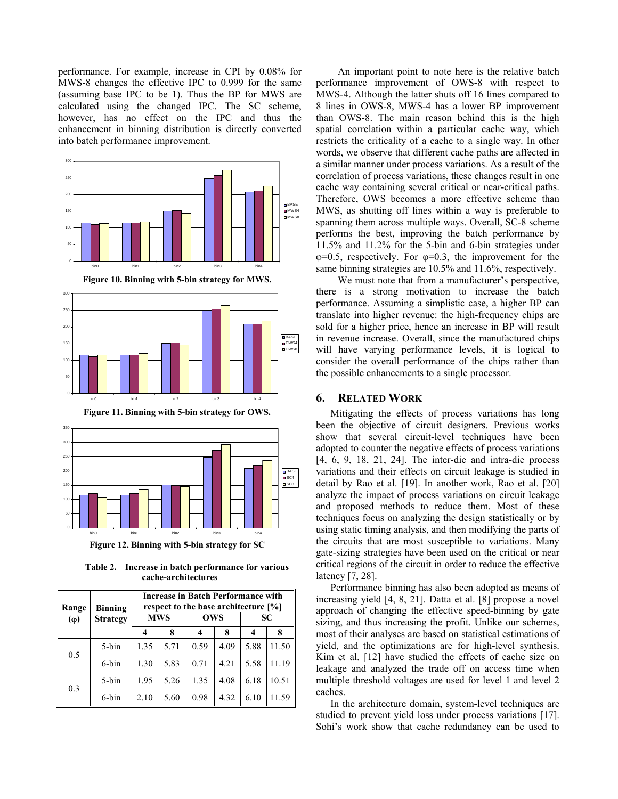performance. For example, increase in CPI by 0.08% for MWS-8 changes the effective IPC to 0.999 for the same (assuming base IPC to be 1). Thus the BP for MWS are calculated using the changed IPC. The SC scheme, however, has no effect on the IPC and thus the enhancement in binning distribution is directly converted into batch performance improvement.



**Figure 12. Binning with 5-bin strategy for SC** 

**Table 2. Increase in batch performance for various cache-architectures** 

| Range<br>$(\varphi)$ | <b>Binning</b><br><b>Strategy</b> | <b>Increase in Batch Performance with</b><br>respect to the base architecture [%] |      |            |      |      |       |
|----------------------|-----------------------------------|-----------------------------------------------------------------------------------|------|------------|------|------|-------|
|                      |                                   | <b>MWS</b>                                                                        |      | <b>OWS</b> |      | SC   |       |
|                      |                                   | 4                                                                                 | 8    |            | 8    | 4    | 8     |
| 0.5                  | 5-bin                             | 1.35                                                                              | 5.71 | 0.59       | 4.09 | 5.88 | 11.50 |
|                      | 6-bin                             | 1.30                                                                              | 5.83 | 0.71       | 4.21 | 5.58 | 11.19 |
| 0.3                  | 5-bin                             | 1.95                                                                              | 5.26 | 1.35       | 4.08 | 6.18 | 10.51 |
|                      | 6-bin                             | 2.10                                                                              | 5.60 | 0.98       | 4.32 | 6.10 | 11.59 |

An important point to note here is the relative batch performance improvement of OWS-8 with respect to MWS-4. Although the latter shuts off 16 lines compared to 8 lines in OWS-8, MWS-4 has a lower BP improvement than OWS-8. The main reason behind this is the high spatial correlation within a particular cache way, which restricts the criticality of a cache to a single way. In other words, we observe that different cache paths are affected in a similar manner under process variations. As a result of the correlation of process variations, these changes result in one cache way containing several critical or near-critical paths. Therefore, OWS becomes a more effective scheme than MWS, as shutting off lines within a way is preferable to spanning them across multiple ways. Overall, SC-8 scheme performs the best, improving the batch performance by 11.5% and 11.2% for the 5-bin and 6-bin strategies under  $\varphi$ =0.5, respectively. For  $\varphi$ =0.3, the improvement for the same binning strategies are 10.5% and 11.6%, respectively.

We must note that from a manufacturer's perspective, there is a strong motivation to increase the batch performance. Assuming a simplistic case, a higher BP can translate into higher revenue: the high-frequency chips are sold for a higher price, hence an increase in BP will result in revenue increase. Overall, since the manufactured chips will have varying performance levels, it is logical to consider the overall performance of the chips rather than the possible enhancements to a single processor.

# **6. RELATED WORK**

Mitigating the effects of process variations has long been the objective of circuit designers. Previous works show that several circuit-level techniques have been adopted to counter the negative effects of process variations [4, 6, 9, 18, 21, 24]. The inter-die and intra-die process variations and their effects on circuit leakage is studied in detail by Rao et al. [19]. In another work, Rao et al. [20] analyze the impact of process variations on circuit leakage and proposed methods to reduce them. Most of these techniques focus on analyzing the design statistically or by using static timing analysis, and then modifying the parts of the circuits that are most susceptible to variations. Many gate-sizing strategies have been used on the critical or near critical regions of the circuit in order to reduce the effective latency [7, 28].

Performance binning has also been adopted as means of increasing yield [4, 8, 21]. Datta et al. [8] propose a novel approach of changing the effective speed-binning by gate sizing, and thus increasing the profit. Unlike our schemes, most of their analyses are based on statistical estimations of yield, and the optimizations are for high-level synthesis. Kim et al. [12] have studied the effects of cache size on leakage and analyzed the trade off on access time when multiple threshold voltages are used for level 1 and level 2 caches.

In the architecture domain, system-level techniques are studied to prevent yield loss under process variations [17]. Sohi's work show that cache redundancy can be used to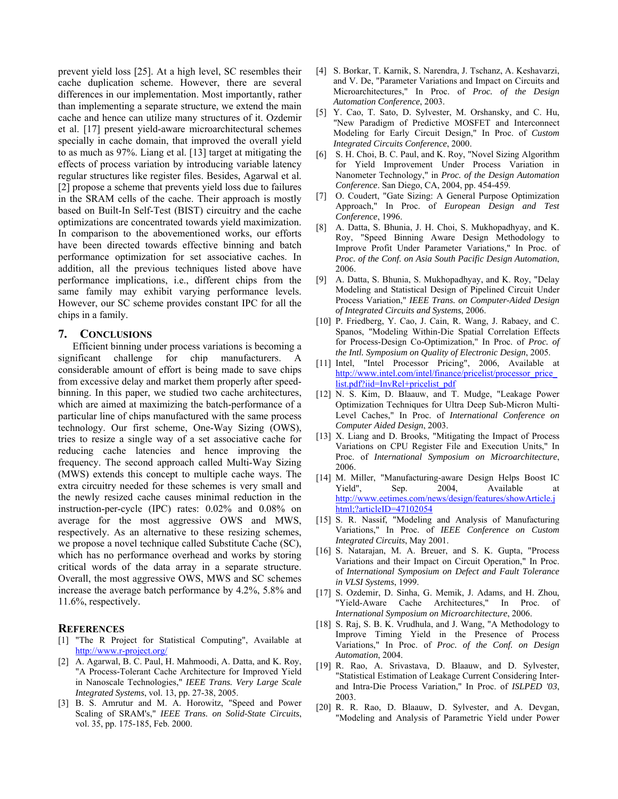prevent yield loss [25]. At a high level, SC resembles their cache duplication scheme. However, there are several differences in our implementation. Most importantly, rather than implementing a separate structure, we extend the main cache and hence can utilize many structures of it. Ozdemir et al. [17] present yield-aware microarchitectural schemes specially in cache domain, that improved the overall yield to as much as 97%. Liang et al. [13] target at mitigating the effects of process variation by introducing variable latency regular structures like register files. Besides, Agarwal et al. [2] propose a scheme that prevents yield loss due to failures in the SRAM cells of the cache. Their approach is mostly based on Built-In Self-Test (BIST) circuitry and the cache optimizations are concentrated towards yield maximization. In comparison to the abovementioned works, our efforts have been directed towards effective binning and batch performance optimization for set associative caches. In addition, all the previous techniques listed above have performance implications, i.e., different chips from the same family may exhibit varying performance levels. However, our SC scheme provides constant IPC for all the chips in a family.

# **7. CONCLUSIONS**

Efficient binning under process variations is becoming a significant challenge for chip manufacturers. A considerable amount of effort is being made to save chips from excessive delay and market them properly after speedbinning. In this paper, we studied two cache architectures, which are aimed at maximizing the batch-performance of a particular line of chips manufactured with the same process technology. Our first scheme, One-Way Sizing (OWS), tries to resize a single way of a set associative cache for reducing cache latencies and hence improving the frequency. The second approach called Multi-Way Sizing (MWS) extends this concept to multiple cache ways. The extra circuitry needed for these schemes is very small and the newly resized cache causes minimal reduction in the instruction-per-cycle (IPC) rates: 0.02% and 0.08% on average for the most aggressive OWS and MWS, respectively. As an alternative to these resizing schemes, we propose a novel technique called Substitute Cache (SC), which has no performance overhead and works by storing critical words of the data array in a separate structure. Overall, the most aggressive OWS, MWS and SC schemes increase the average batch performance by 4.2%, 5.8% and 11.6%, respectively.

## **REFERENCES**

- [1] "The R Project for Statistical Computing", Available at http://www.r-project.org/
- [2] A. Agarwal, B. C. Paul, H. Mahmoodi, A. Datta, and K. Roy, "A Process-Tolerant Cache Architecture for Improved Yield in Nanoscale Technologies," *IEEE Trans. Very Large Scale Integrated Systems*, vol. 13, pp. 27-38, 2005.
- [3] B. S. Amrutur and M. A. Horowitz, "Speed and Power Scaling of SRAM's," *IEEE Trans. on Solid-State Circuits*, vol. 35, pp. 175-185, Feb. 2000.
- [4] S. Borkar, T. Karnik, S. Narendra, J. Tschanz, A. Keshavarzi, and V. De, "Parameter Variations and Impact on Circuits and Microarchitectures," In Proc. of *Proc. of the Design Automation Conference*, 2003.
- [5] Y. Cao, T. Sato, D. Sylvester, M. Orshansky, and C. Hu, "New Paradigm of Predictive MOSFET and Interconnect Modeling for Early Circuit Design," In Proc. of *Custom Integrated Circuits Conference*, 2000.
- [6] S. H. Choi, B. C. Paul, and K. Roy, "Novel Sizing Algorithm for Yield Improvement Under Process Variation in Nanometer Technology," in *Proc. of the Design Automation Conference*. San Diego, CA, 2004, pp. 454-459.
- [7] O. Coudert, "Gate Sizing: A General Purpose Optimization Approach," In Proc. of *European Design and Test Conference*, 1996.
- [8] A. Datta, S. Bhunia, J. H. Choi, S. Mukhopadhyay, and K. Roy, "Speed Binning Aware Design Methodology to Improve Profit Under Parameter Variations," In Proc. of *Proc. of the Conf. on Asia South Pacific Design Automation*, 2006.
- [9] A. Datta, S. Bhunia, S. Mukhopadhyay, and K. Roy, "Delay Modeling and Statistical Design of Pipelined Circuit Under Process Variation," *IEEE Trans. on Computer-Aided Design of Integrated Circuits and Systems*, 2006.
- [10] P. Friedberg, Y. Cao, J. Cain, R. Wang, J. Rabaey, and C. Spanos, "Modeling Within-Die Spatial Correlation Effects for Process-Design Co-Optimization," In Proc. of *Proc. of the Intl. Symposium on Quality of Electronic Design*, 2005.
- [11] Intel, "Intel Processor Pricing", 2006, Available at http://www.intel.com/intel/finance/pricelist/processor\_price list.pdf?iid=InvRel+pricelist\_pdf
- [12] N. S. Kim, D. Blaauw, and T. Mudge, "Leakage Power Optimization Techniques for Ultra Deep Sub-Micron Multi-Level Caches," In Proc. of *International Conference on Computer Aided Design*, 2003.
- [13] X. Liang and D. Brooks, "Mitigating the Impact of Process Variations on CPU Register File and Execution Units," In Proc. of *International Symposium on Microarchitecture*, 2006.
- [14] M. Miller, "Manufacturing-aware Design Helps Boost IC Yield", Sep. 2004, Available at http://www.eetimes.com/news/design/features/showArticle.j html;?articleID=47102054
- [15] S. R. Nassif, "Modeling and Analysis of Manufacturing Variations," In Proc. of *IEEE Conference on Custom Integrated Circuits*, May 2001.
- [16] S. Natarajan, M. A. Breuer, and S. K. Gupta, "Process" Variations and their Impact on Circuit Operation," In Proc. of *International Symposium on Defect and Fault Tolerance in VLSI Systems*, 1999.
- [17] S. Ozdemir, D. Sinha, G. Memik, J. Adams, and H. Zhou, "Yield-Aware Cache Architectures," In Proc. of *International Symposium on Microarchitecture*, 2006.
- [18] S. Raj, S. B. K. Vrudhula, and J. Wang, "A Methodology to Improve Timing Yield in the Presence of Process Variations," In Proc. of *Proc. of the Conf. on Design Automation*, 2004.
- [19] R. Rao, A. Srivastava, D. Blaauw, and D. Sylvester, "Statistical Estimation of Leakage Current Considering Interand Intra-Die Process Variation," In Proc. of *ISLPED '03*, 2003.
- [20] R. R. Rao, D. Blaauw, D. Sylvester, and A. Devgan, "Modeling and Analysis of Parametric Yield under Power